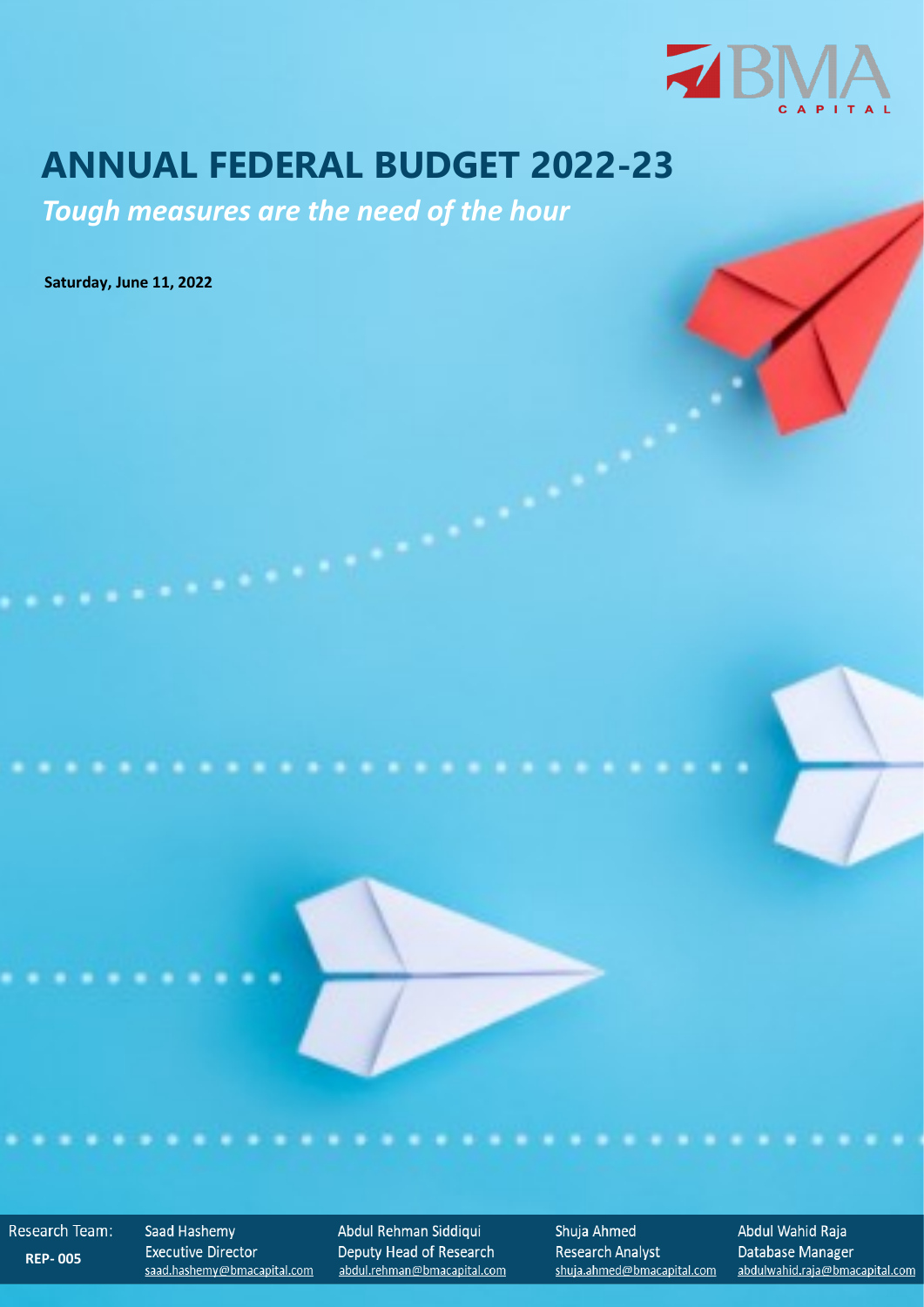

# **ANNUAL FEDERAL BUDGET 2022-23**

*Tough measures are the need of the hour*

**Saturday, June 11, 2022**

Research Team: **REP- 005**

Saad Hashemy **Executive Director** saad.hashemy@bmacapital.com

. . .

Abdul Rehman Siddiqui Deputy Head of Research abdul.rehman@bmacapital.com Shuja Ahmed **Research Analyst** shuja.ahmed@bmacapital.com Abdul Wahid Raja Database Manager abdulwahid.raja@bmacapital.com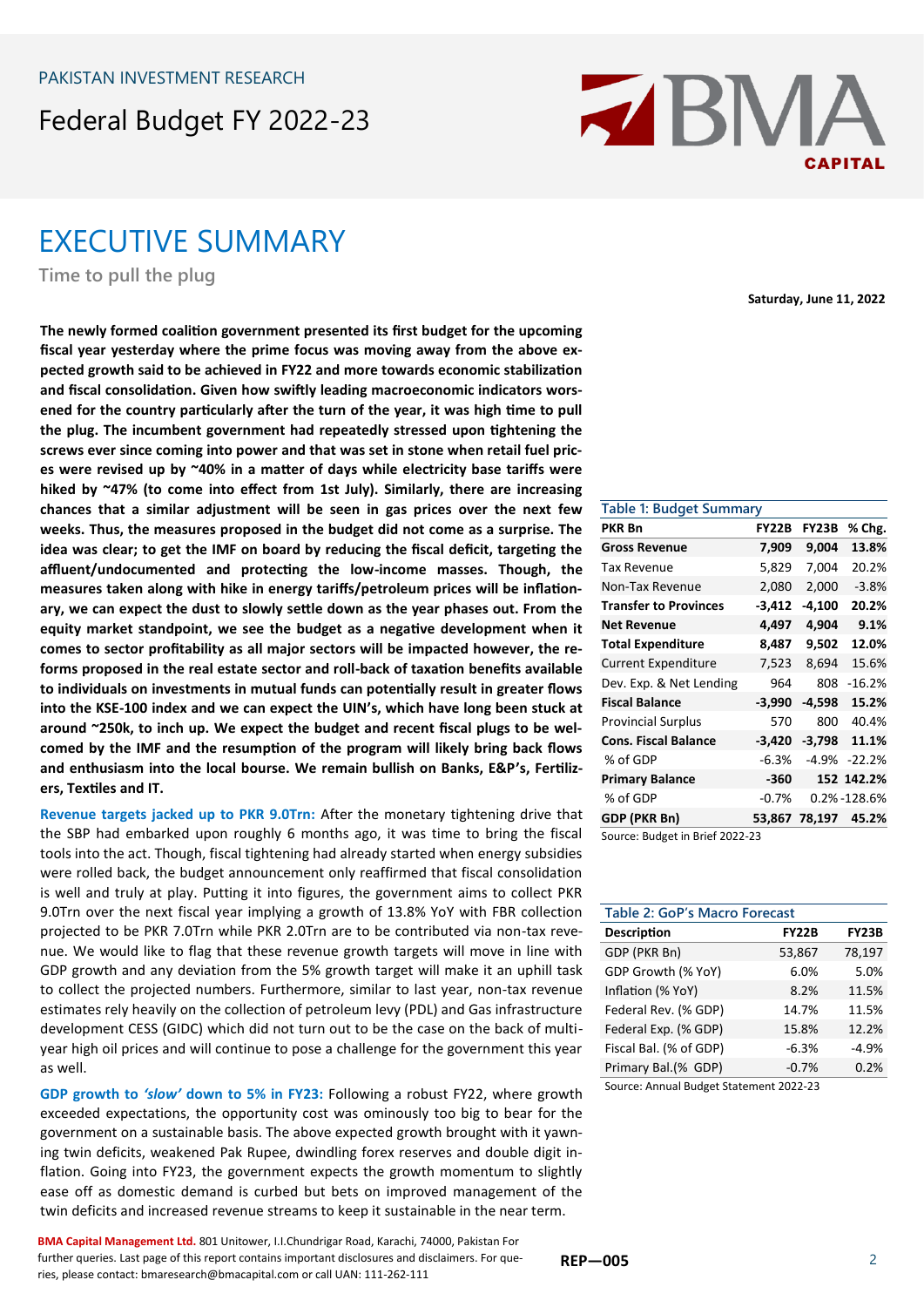## Federal Budget FY 2022-23

## EXECUTIVE SUMMARY

**Time to pull the plug**

**The newly formed coalition government presented its first budget for the upcoming fiscal year yesterday where the prime focus was moving away from the above expected growth said to be achieved in FY22 and more towards economic stabilization and fiscal consolidation. Given how swiftly leading macroeconomic indicators worsened for the country particularly after the turn of the year, it was high time to pull the plug. The incumbent government had repeatedly stressed upon tightening the screws ever since coming into power and that was set in stone when retail fuel prices were revised up by ~40% in a matter of days while electricity base tariffs were hiked by ~47% (to come into effect from 1st July). Similarly, there are increasing chances that a similar adjustment will be seen in gas prices over the next few weeks. Thus, the measures proposed in the budget did not come as a surprise. The idea was clear; to get the IMF on board by reducing the fiscal deficit, targeting the affluent/undocumented and protecting the low-income masses. Though, the measures taken along with hike in energy tariffs/petroleum prices will be inflationary, we can expect the dust to slowly settle down as the year phases out. From the equity market standpoint, we see the budget as a negative development when it comes to sector profitability as all major sectors will be impacted however, the reforms proposed in the real estate sector and roll-back of taxation benefits available to individuals on investments in mutual funds can potentially result in greater flows into the KSE-100 index and we can expect the UIN's, which have long been stuck at around ~250k, to inch up. We expect the budget and recent fiscal plugs to be welcomed by the IMF and the resumption of the program will likely bring back flows and enthusiasm into the local bourse. We remain bullish on Banks, E&P's, Fertilizers, Textiles and IT.** 

**Revenue targets jacked up to PKR 9.0Trn:** After the monetary tightening drive that the SBP had embarked upon roughly 6 months ago, it was time to bring the fiscal tools into the act. Though, fiscal tightening had already started when energy subsidies were rolled back, the budget announcement only reaffirmed that fiscal consolidation is well and truly at play. Putting it into figures, the government aims to collect PKR 9.0Trn over the next fiscal year implying a growth of 13.8% YoY with FBR collection projected to be PKR 7.0Trn while PKR 2.0Trn are to be contributed via non-tax revenue. We would like to flag that these revenue growth targets will move in line with GDP growth and any deviation from the 5% growth target will make it an uphill task to collect the projected numbers. Furthermore, similar to last year, non-tax revenue estimates rely heavily on the collection of petroleum levy (PDL) and Gas infrastructure development CESS (GIDC) which did not turn out to be the case on the back of multiyear high oil prices and will continue to pose a challenge for the government this year as well.

**GDP growth to** *'slow'* **down to 5% in FY23:** Following a robust FY22, where growth exceeded expectations, the opportunity cost was ominously too big to bear for the government on a sustainable basis. The above expected growth brought with it yawning twin deficits, weakened Pak Rupee, dwindling forex reserves and double digit inflation. Going into FY23, the government expects the growth momentum to slightly ease off as domestic demand is curbed but bets on improved management of the twin deficits and increased revenue streams to keep it sustainable in the near term.



**Saturday, June 11, 2022**

| <b>Table 1: Budget Summary</b> |              |              |             |  |
|--------------------------------|--------------|--------------|-------------|--|
| PKR Bn                         | <b>FY22B</b> | <b>FY23B</b> | % Chg.      |  |
| <b>Gross Revenue</b>           | 7,909        | 9,004        | 13.8%       |  |
| Tax Revenue                    | 5,829        | 7,004        | 20.2%       |  |
| Non-Tax Revenue                | 2,080        | 2,000        | $-3.8%$     |  |
| <b>Transfer to Provinces</b>   | $-3,412$     | $-4,100$     | 20.2%       |  |
| <b>Net Revenue</b>             | 4,497        | 4,904        | 9.1%        |  |
| <b>Total Expenditure</b>       | 8,487        | 9,502        | 12.0%       |  |
| <b>Current Expenditure</b>     | 7,523        | 8,694        | 15.6%       |  |
| Dev. Exp. & Net Lending        | 964          | 808          | $-16.2%$    |  |
| <b>Fiscal Balance</b>          | $-3,990$     | $-4,598$     | 15.2%       |  |
| <b>Provincial Surplus</b>      | 570          | 800          | 40.4%       |  |
| <b>Cons. Fiscal Balance</b>    | -3,420       | -3,798       | 11.1%       |  |
| % of GDP                       | $-6.3%$      | $-4.9%$      | $-22.2%$    |  |
| <b>Primary Balance</b>         | -360         |              | 152 142.2%  |  |
| % of GDP                       | -0.7%        |              | 0.2%-128.6% |  |
| GDP (PKR Bn)                   | 53,867       | 78,197       | 45.2%       |  |

Source: Budget in Brief 2022-23

| Table 2: GoP's Macro Forecast           |              |              |  |  |
|-----------------------------------------|--------------|--------------|--|--|
| <b>Description</b>                      | <b>FY22B</b> | <b>FY23B</b> |  |  |
| GDP (PKR Bn)                            | 53,867       | 78,197       |  |  |
| GDP Growth (% YoY)                      | 6.0%         | 5.0%         |  |  |
| Inflation (% YoY)                       | 8.2%         | 11.5%        |  |  |
| Federal Rev. (% GDP)                    | 14.7%        | 11.5%        |  |  |
| Federal Exp. (% GDP)                    | 15.8%        | 12.2%        |  |  |
| Fiscal Bal. (% of GDP)                  | $-6.3%$      | $-4.9%$      |  |  |
| Primary Bal.(% GDP)                     | $-0.7%$      | 0.2%         |  |  |
| Source: Annual Budget Statement 2022-23 |              |              |  |  |

Source: Annual Budget Statement 2022-23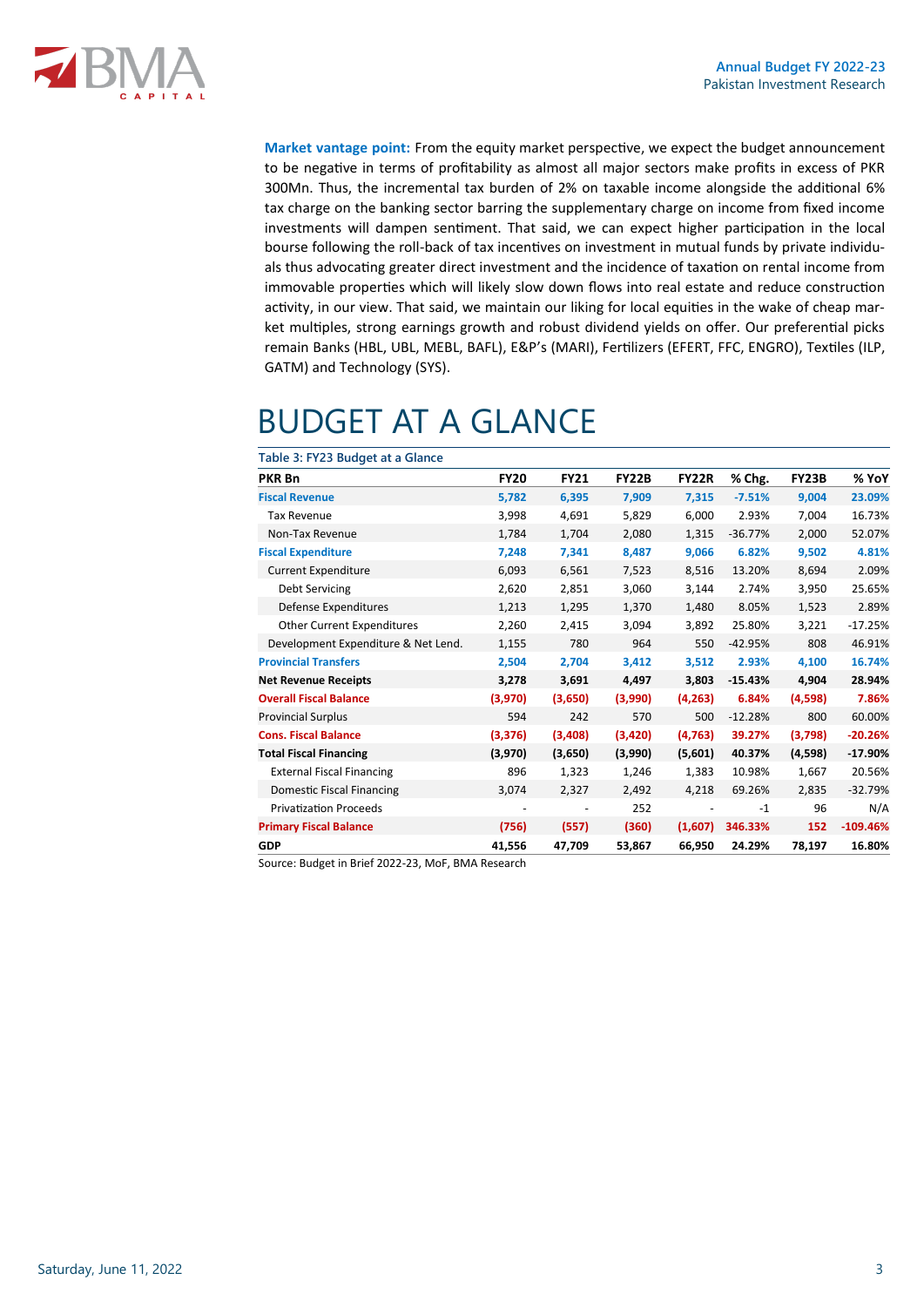

**Market vantage point:** From the equity market perspective, we expect the budget announcement to be negative in terms of profitability as almost all major sectors make profits in excess of PKR 300Mn. Thus, the incremental tax burden of 2% on taxable income alongside the additional 6% tax charge on the banking sector barring the supplementary charge on income from fixed income investments will dampen sentiment. That said, we can expect higher participation in the local bourse following the roll-back of tax incentives on investment in mutual funds by private individuals thus advocating greater direct investment and the incidence of taxation on rental income from immovable properties which will likely slow down flows into real estate and reduce construction activity, in our view. That said, we maintain our liking for local equities in the wake of cheap market multiples, strong earnings growth and robust dividend yields on offer. Our preferential picks remain Banks (HBL, UBL, MEBL, BAFL), E&P's (MARI), Fertilizers (EFERT, FFC, ENGRO), Textiles (ILP, GATM) and Technology (SYS).

# BUDGET AT A GLANCE

**Table 3: FY23 Budget at a Glance**

|          | <b>FY21</b>              | <b>FY22B</b> | FY22R    | % Chg.    | FY23B   | % YoY      |
|----------|--------------------------|--------------|----------|-----------|---------|------------|
| 5,782    | 6,395                    | 7,909        | 7,315    | $-7.51%$  | 9,004   | 23.09%     |
| 3,998    | 4,691                    | 5,829        | 6,000    | 2.93%     | 7,004   | 16.73%     |
| 1,784    | 1,704                    | 2,080        | 1,315    | $-36.77%$ | 2,000   | 52.07%     |
| 7,248    | 7,341                    | 8,487        | 9,066    | 6.82%     | 9,502   | 4.81%      |
| 6,093    | 6,561                    | 7,523        | 8,516    | 13.20%    | 8,694   | 2.09%      |
| 2,620    | 2,851                    | 3,060        | 3,144    | 2.74%     | 3,950   | 25.65%     |
| 1,213    | 1,295                    | 1,370        | 1,480    | 8.05%     | 1,523   | 2.89%      |
| 2,260    | 2,415                    | 3,094        | 3,892    | 25.80%    | 3,221   | $-17.25%$  |
| 1,155    | 780                      | 964          | 550      | $-42.95%$ | 808     | 46.91%     |
| 2,504    | 2,704                    | 3,412        | 3,512    | 2.93%     | 4,100   | 16.74%     |
| 3,278    | 3,691                    | 4,497        | 3,803    | $-15.43%$ | 4,904   | 28.94%     |
| (3,970)  | (3,650)                  | (3,990)      | (4, 263) | 6.84%     | (4,598) | 7.86%      |
| 594      | 242                      | 570          | 500      | $-12.28%$ | 800     | 60.00%     |
| (3, 376) | (3,408)                  | (3,420)      | (4, 763) | 39.27%    | (3,798) | $-20.26%$  |
| (3,970)  | (3,650)                  | (3,990)      | (5,601)  | 40.37%    | (4,598) | $-17.90%$  |
| 896      | 1,323                    | 1,246        | 1,383    | 10.98%    | 1,667   | 20.56%     |
| 3,074    | 2,327                    | 2,492        | 4,218    | 69.26%    | 2,835   | $-32.79%$  |
|          | $\overline{\phantom{a}}$ | 252          |          | $-1$      | 96      | N/A        |
| (756)    | (557)                    | (360)        | (1,607)  | 346.33%   | 152     | $-109.46%$ |
| 41,556   | 47,709                   | 53,867       | 66,950   | 24.29%    | 78,197  | 16.80%     |
|          | <b>FY20</b>              |              |          |           |         |            |

Source: Budget in Brief 2022-23, MoF, BMA Research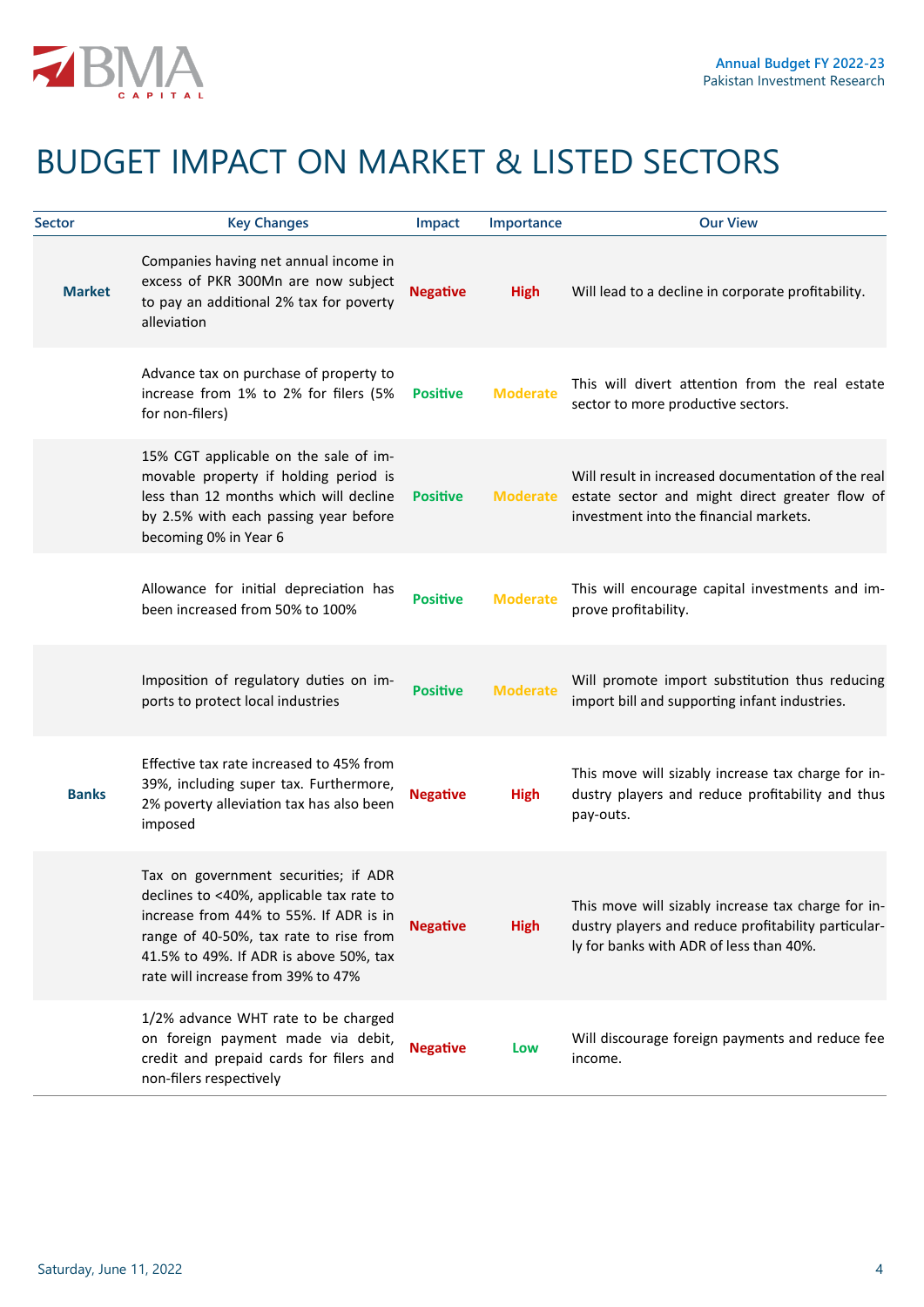

# BUDGET IMPACT ON MARKET & LISTED SECTORS

| <b>Sector</b> | <b>Key Changes</b>                                                                                                                                                                                                                                   | Impact          | Importance      | <b>Our View</b>                                                                                                                                      |
|---------------|------------------------------------------------------------------------------------------------------------------------------------------------------------------------------------------------------------------------------------------------------|-----------------|-----------------|------------------------------------------------------------------------------------------------------------------------------------------------------|
| <b>Market</b> | Companies having net annual income in<br>excess of PKR 300Mn are now subject<br>to pay an additional 2% tax for poverty<br>alleviation                                                                                                               | <b>Negative</b> | <b>High</b>     | Will lead to a decline in corporate profitability.                                                                                                   |
|               | Advance tax on purchase of property to<br>increase from 1% to 2% for filers (5%<br>for non-filers)                                                                                                                                                   | <b>Positive</b> | <b>Moderate</b> | This will divert attention from the real estate<br>sector to more productive sectors.                                                                |
|               | 15% CGT applicable on the sale of im-<br>movable property if holding period is<br>less than 12 months which will decline<br>by 2.5% with each passing year before<br>becoming 0% in Year 6                                                           | <b>Positive</b> | <b>Moderate</b> | Will result in increased documentation of the real<br>estate sector and might direct greater flow of<br>investment into the financial markets.       |
|               | Allowance for initial depreciation has<br>been increased from 50% to 100%                                                                                                                                                                            | <b>Positive</b> | <b>Moderate</b> | This will encourage capital investments and im-<br>prove profitability.                                                                              |
|               | Imposition of regulatory duties on im-<br>ports to protect local industries                                                                                                                                                                          | <b>Positive</b> | <b>Moderate</b> | Will promote import substitution thus reducing<br>import bill and supporting infant industries.                                                      |
| <b>Banks</b>  | Effective tax rate increased to 45% from<br>39%, including super tax. Furthermore,<br>2% poverty alleviation tax has also been<br>imposed                                                                                                            | <b>Negative</b> | <b>High</b>     | This move will sizably increase tax charge for in-<br>dustry players and reduce profitability and thus<br>pay-outs.                                  |
|               | Tax on government securities; if ADR<br>declines to <40%, applicable tax rate to<br>increase from 44% to 55%. If ADR is in<br>range of 40-50%, tax rate to rise from<br>41.5% to 49%. If ADR is above 50%, tax<br>rate will increase from 39% to 47% | <b>Negative</b> | <b>High</b>     | This move will sizably increase tax charge for in-<br>dustry players and reduce profitability particular-<br>ly for banks with ADR of less than 40%. |
|               | 1/2% advance WHT rate to be charged<br>on foreign payment made via debit,<br>credit and prepaid cards for filers and<br>non-filers respectively                                                                                                      | <b>Negative</b> | Low             | Will discourage foreign payments and reduce fee<br>income.                                                                                           |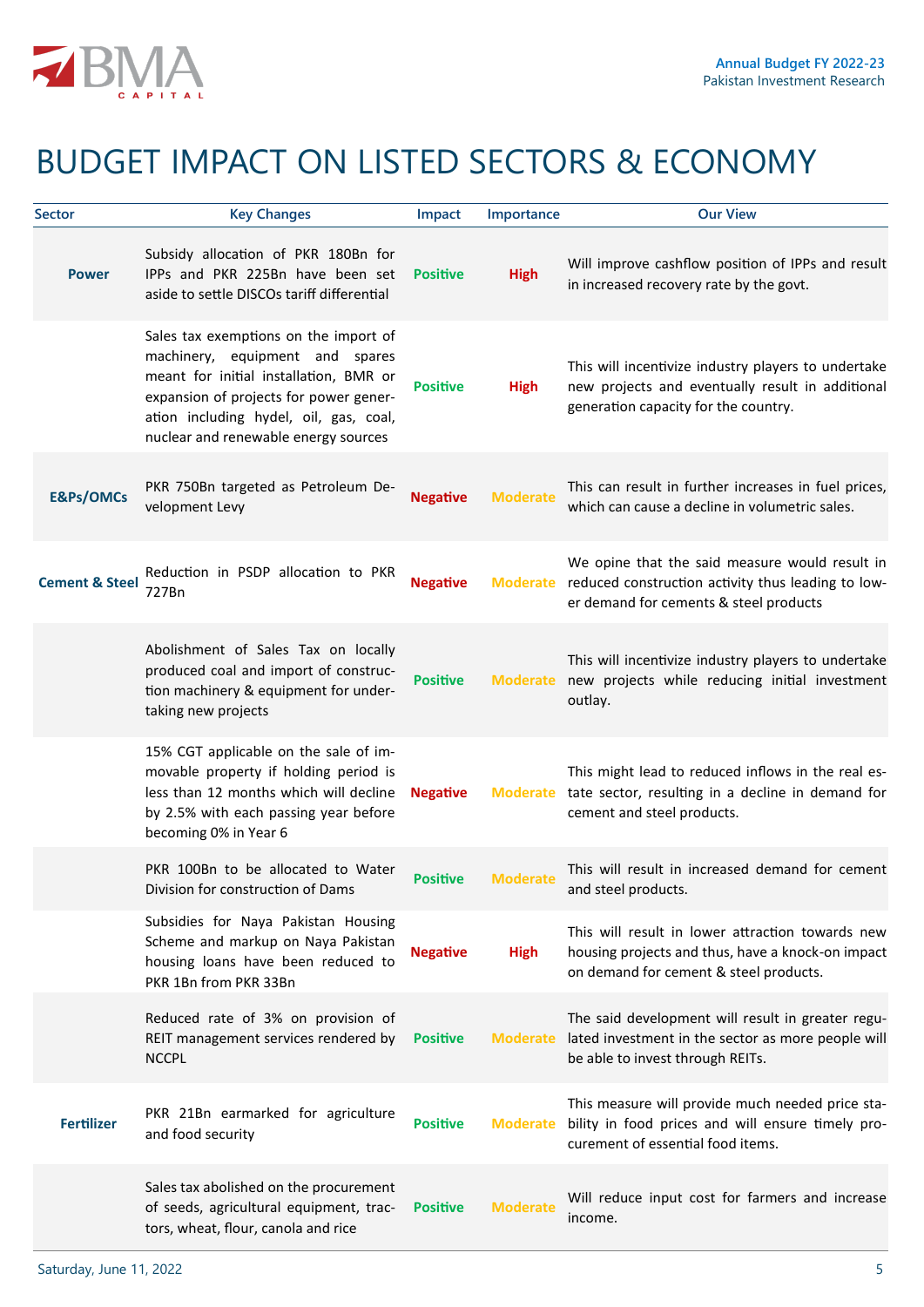

# BUDGET IMPACT ON LISTED SECTORS & ECONOMY

| <b>Sector</b>             | <b>Key Changes</b>                                                                                                                                                                                                                             | Impact          | Importance      | <b>Our View</b>                                                                                                                                 |
|---------------------------|------------------------------------------------------------------------------------------------------------------------------------------------------------------------------------------------------------------------------------------------|-----------------|-----------------|-------------------------------------------------------------------------------------------------------------------------------------------------|
| <b>Power</b>              | Subsidy allocation of PKR 180Bn for<br>IPPs and PKR 225Bn have been set<br>aside to settle DISCOs tariff differential                                                                                                                          | <b>Positive</b> | <b>High</b>     | Will improve cashflow position of IPPs and result<br>in increased recovery rate by the govt.                                                    |
|                           | Sales tax exemptions on the import of<br>machinery, equipment and spares<br>meant for initial installation, BMR or<br>expansion of projects for power gener-<br>ation including hydel, oil, gas, coal,<br>nuclear and renewable energy sources | <b>Positive</b> | <b>High</b>     | This will incentivize industry players to undertake<br>new projects and eventually result in additional<br>generation capacity for the country. |
| <b>E&amp;Ps/OMCs</b>      | PKR 750Bn targeted as Petroleum De-<br>velopment Levy                                                                                                                                                                                          | <b>Negative</b> | <b>Moderate</b> | This can result in further increases in fuel prices,<br>which can cause a decline in volumetric sales.                                          |
| <b>Cement &amp; Steel</b> | Reduction in PSDP allocation to PKR<br>727Bn                                                                                                                                                                                                   | <b>Negative</b> | <b>Moderate</b> | We opine that the said measure would result in<br>reduced construction activity thus leading to low-<br>er demand for cements & steel products  |
|                           | Abolishment of Sales Tax on locally<br>produced coal and import of construc-<br>tion machinery & equipment for under-<br>taking new projects                                                                                                   | <b>Positive</b> | <b>Moderate</b> | This will incentivize industry players to undertake<br>new projects while reducing initial investment<br>outlay.                                |
|                           | 15% CGT applicable on the sale of im-<br>movable property if holding period is<br>less than 12 months which will decline<br>by 2.5% with each passing year before<br>becoming 0% in Year 6                                                     | <b>Negative</b> | <b>Moderate</b> | This might lead to reduced inflows in the real es-<br>tate sector, resulting in a decline in demand for<br>cement and steel products.           |
|                           | PKR 100Bn to be allocated to Water<br>Division for construction of Dams                                                                                                                                                                        | <b>Positive</b> | <b>Moderate</b> | This will result in increased demand for cement<br>and steel products.                                                                          |
|                           | Subsidies for Naya Pakistan Housing<br>Scheme and markup on Naya Pakistan<br>housing loans have been reduced to<br>PKR 1Bn from PKR 33Bn                                                                                                       | <b>Negative</b> | <b>High</b>     | This will result in lower attraction towards new<br>housing projects and thus, have a knock-on impact<br>on demand for cement & steel products. |
|                           | Reduced rate of 3% on provision of<br>REIT management services rendered by<br><b>NCCPL</b>                                                                                                                                                     | <b>Positive</b> | <b>Moderate</b> | The said development will result in greater regu-<br>lated investment in the sector as more people will<br>be able to invest through REITs.     |
| <b>Fertilizer</b>         | PKR 21Bn earmarked for agriculture<br>and food security                                                                                                                                                                                        | <b>Positive</b> | <b>Moderate</b> | This measure will provide much needed price sta-<br>bility in food prices and will ensure timely pro-<br>curement of essential food items.      |
|                           | Sales tax abolished on the procurement<br>of seeds, agricultural equipment, trac-<br>tors, wheat, flour, canola and rice                                                                                                                       | <b>Positive</b> | <b>Moderate</b> | Will reduce input cost for farmers and increase<br>income.                                                                                      |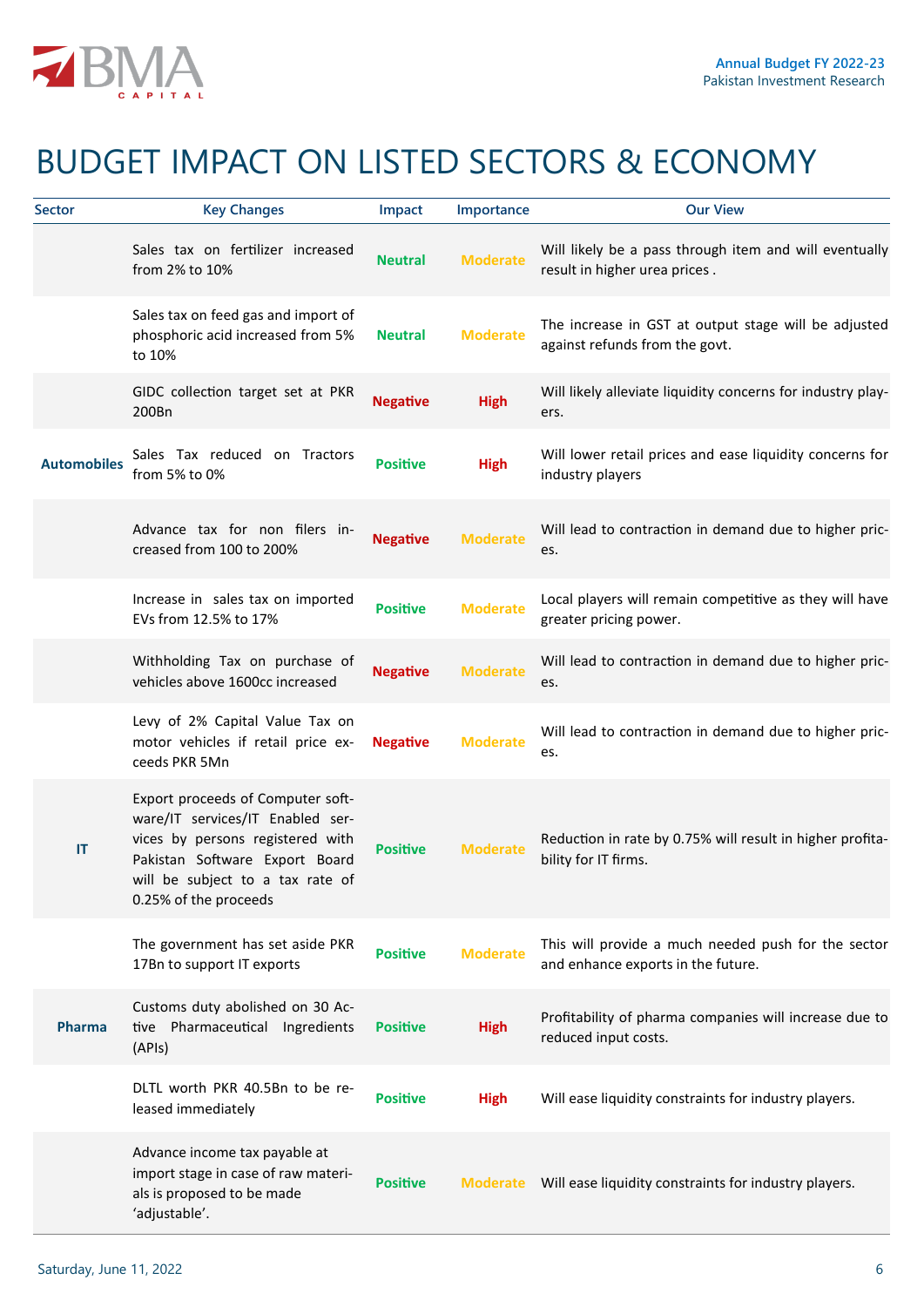

# BUDGET IMPACT ON LISTED SECTORS & ECONOMY

| Sector             | <b>Key Changes</b>                                                                                                                                                                                       | Impact          | Importance      | <b>Our View</b>                                                                           |
|--------------------|----------------------------------------------------------------------------------------------------------------------------------------------------------------------------------------------------------|-----------------|-----------------|-------------------------------------------------------------------------------------------|
|                    | Sales tax on fertilizer increased<br>from 2% to 10%                                                                                                                                                      | <b>Neutral</b>  | <b>Moderate</b> | Will likely be a pass through item and will eventually<br>result in higher urea prices.   |
|                    | Sales tax on feed gas and import of<br>phosphoric acid increased from 5%<br>to 10%                                                                                                                       | <b>Neutral</b>  | <b>Moderate</b> | The increase in GST at output stage will be adjusted<br>against refunds from the govt.    |
|                    | GIDC collection target set at PKR<br>200Bn                                                                                                                                                               | <b>Negative</b> | <b>High</b>     | Will likely alleviate liquidity concerns for industry play-<br>ers.                       |
| <b>Automobiles</b> | Sales Tax reduced on Tractors<br>from 5% to 0%                                                                                                                                                           | <b>Positive</b> | <b>High</b>     | Will lower retail prices and ease liquidity concerns for<br>industry players              |
|                    | Advance tax for non filers in-<br>creased from 100 to 200%                                                                                                                                               | <b>Negative</b> | <b>Moderate</b> | Will lead to contraction in demand due to higher pric-<br>es.                             |
|                    | Increase in sales tax on imported<br>EVs from 12.5% to 17%                                                                                                                                               | <b>Positive</b> | <b>Moderate</b> | Local players will remain competitive as they will have<br>greater pricing power.         |
|                    | Withholding Tax on purchase of<br>vehicles above 1600cc increased                                                                                                                                        | <b>Negative</b> | <b>Moderate</b> | Will lead to contraction in demand due to higher pric-<br>es.                             |
|                    | Levy of 2% Capital Value Tax on<br>motor vehicles if retail price ex-<br>ceeds PKR 5Mn                                                                                                                   | <b>Negative</b> | <b>Moderate</b> | Will lead to contraction in demand due to higher pric-<br>es.                             |
| IT                 | Export proceeds of Computer soft-<br>ware/IT services/IT Enabled ser-<br>vices by persons registered with<br>Pakistan Software Export Board<br>will be subject to a tax rate of<br>0.25% of the proceeds | <b>Positive</b> | <b>Moderate</b> | Reduction in rate by 0.75% will result in higher profita-<br>bility for IT firms.         |
|                    | The government has set aside PKR<br>17Bn to support IT exports                                                                                                                                           | <b>Positive</b> | <b>Moderate</b> | This will provide a much needed push for the sector<br>and enhance exports in the future. |
| Pharma             | Customs duty abolished on 30 Ac-<br>tive Pharmaceutical Ingredients<br>(APIs)                                                                                                                            | <b>Positive</b> | <b>High</b>     | Profitability of pharma companies will increase due to<br>reduced input costs.            |
|                    | DLTL worth PKR 40.5Bn to be re-<br>leased immediately                                                                                                                                                    | <b>Positive</b> | <b>High</b>     | Will ease liquidity constraints for industry players.                                     |
|                    | Advance income tax payable at<br>import stage in case of raw materi-<br>als is proposed to be made<br>'adjustable'.                                                                                      | <b>Positive</b> | Moderate        | Will ease liquidity constraints for industry players.                                     |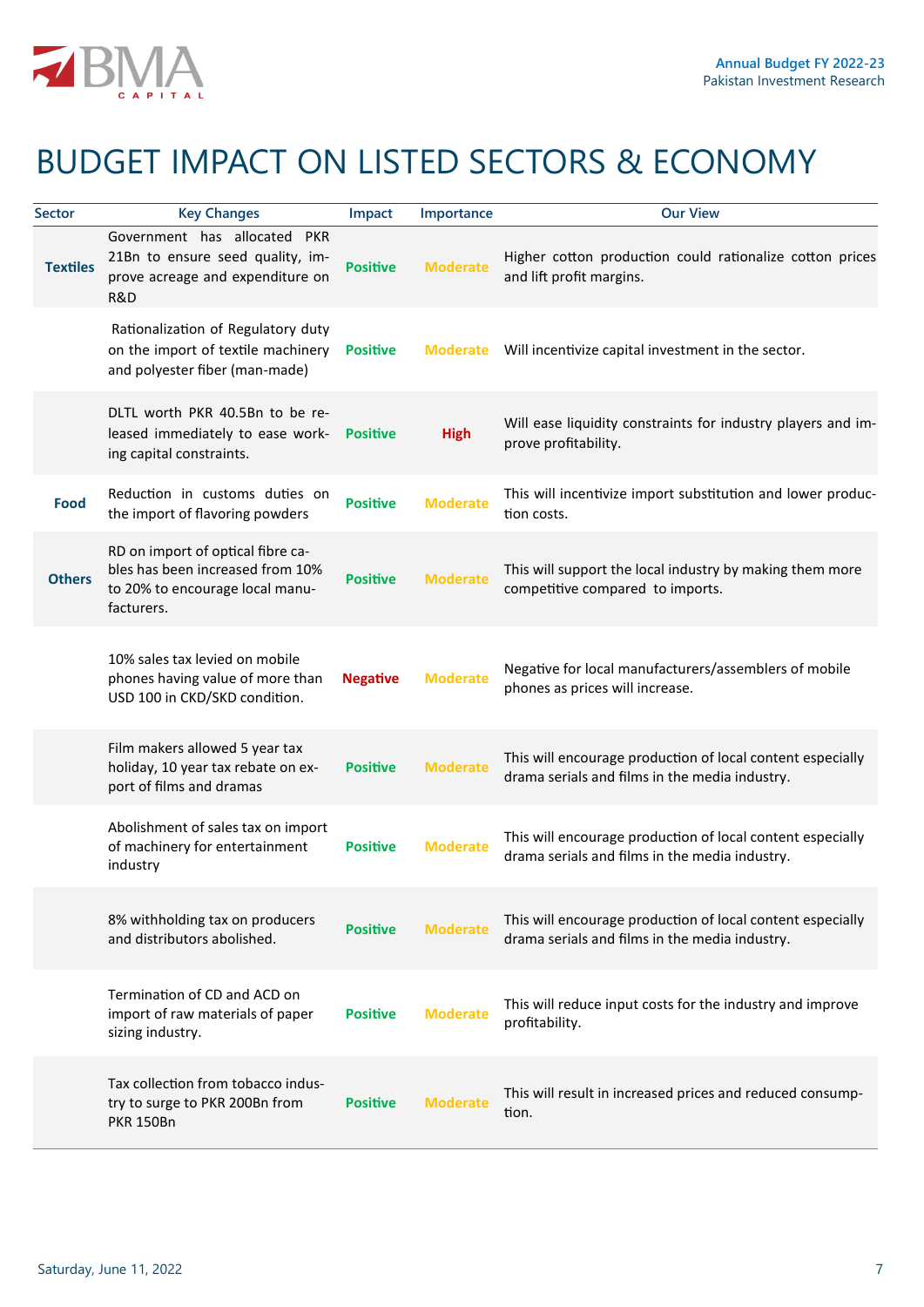

# BUDGET IMPACT ON LISTED SECTORS & ECONOMY

| <b>Sector</b>   | <b>Key Changes</b>                                                                                                     | Impact          | Importance      | <b>Our View</b>                                                                                              |
|-----------------|------------------------------------------------------------------------------------------------------------------------|-----------------|-----------------|--------------------------------------------------------------------------------------------------------------|
| <b>Textiles</b> | Government has allocated<br><b>PKR</b><br>21Bn to ensure seed quality, im-<br>prove acreage and expenditure on<br>R&D  | <b>Positive</b> | <b>Moderate</b> | Higher cotton production could rationalize cotton prices<br>and lift profit margins.                         |
|                 | Rationalization of Regulatory duty<br>on the import of textile machinery<br>and polyester fiber (man-made)             | <b>Positive</b> | <b>Moderate</b> | Will incentivize capital investment in the sector.                                                           |
|                 | DLTL worth PKR 40.5Bn to be re-<br>leased immediately to ease work-<br>ing capital constraints.                        | <b>Positive</b> | <b>High</b>     | Will ease liquidity constraints for industry players and im-<br>prove profitability.                         |
| Food            | Reduction in customs duties on<br>the import of flavoring powders                                                      | <b>Positive</b> | <b>Moderate</b> | This will incentivize import substitution and lower produc-<br>tion costs.                                   |
| <b>Others</b>   | RD on import of optical fibre ca-<br>bles has been increased from 10%<br>to 20% to encourage local manu-<br>facturers. | <b>Positive</b> | <b>Moderate</b> | This will support the local industry by making them more<br>competitive compared to imports.                 |
|                 | 10% sales tax levied on mobile<br>phones having value of more than<br>USD 100 in CKD/SKD condition.                    | <b>Negative</b> | <b>Moderate</b> | Negative for local manufacturers/assemblers of mobile<br>phones as prices will increase.                     |
|                 | Film makers allowed 5 year tax<br>holiday, 10 year tax rebate on ex-<br>port of films and dramas                       | <b>Positive</b> | <b>Moderate</b> | This will encourage production of local content especially<br>drama serials and films in the media industry. |
|                 | Abolishment of sales tax on import<br>of machinery for entertainment<br>industry                                       | <b>Positive</b> | <b>Moderate</b> | This will encourage production of local content especially<br>drama serials and films in the media industry. |
|                 | 8% withholding tax on producers<br>and distributors abolished.                                                         | <b>Positive</b> | <b>Moderate</b> | This will encourage production of local content especially<br>drama serials and films in the media industry. |
|                 | Termination of CD and ACD on<br>import of raw materials of paper<br>sizing industry.                                   | <b>Positive</b> | <b>Moderate</b> | This will reduce input costs for the industry and improve<br>profitability.                                  |
|                 | Tax collection from tobacco indus-<br>try to surge to PKR 200Bn from<br><b>PKR 150Bn</b>                               | <b>Positive</b> | <b>Moderate</b> | This will result in increased prices and reduced consump-<br>tion.                                           |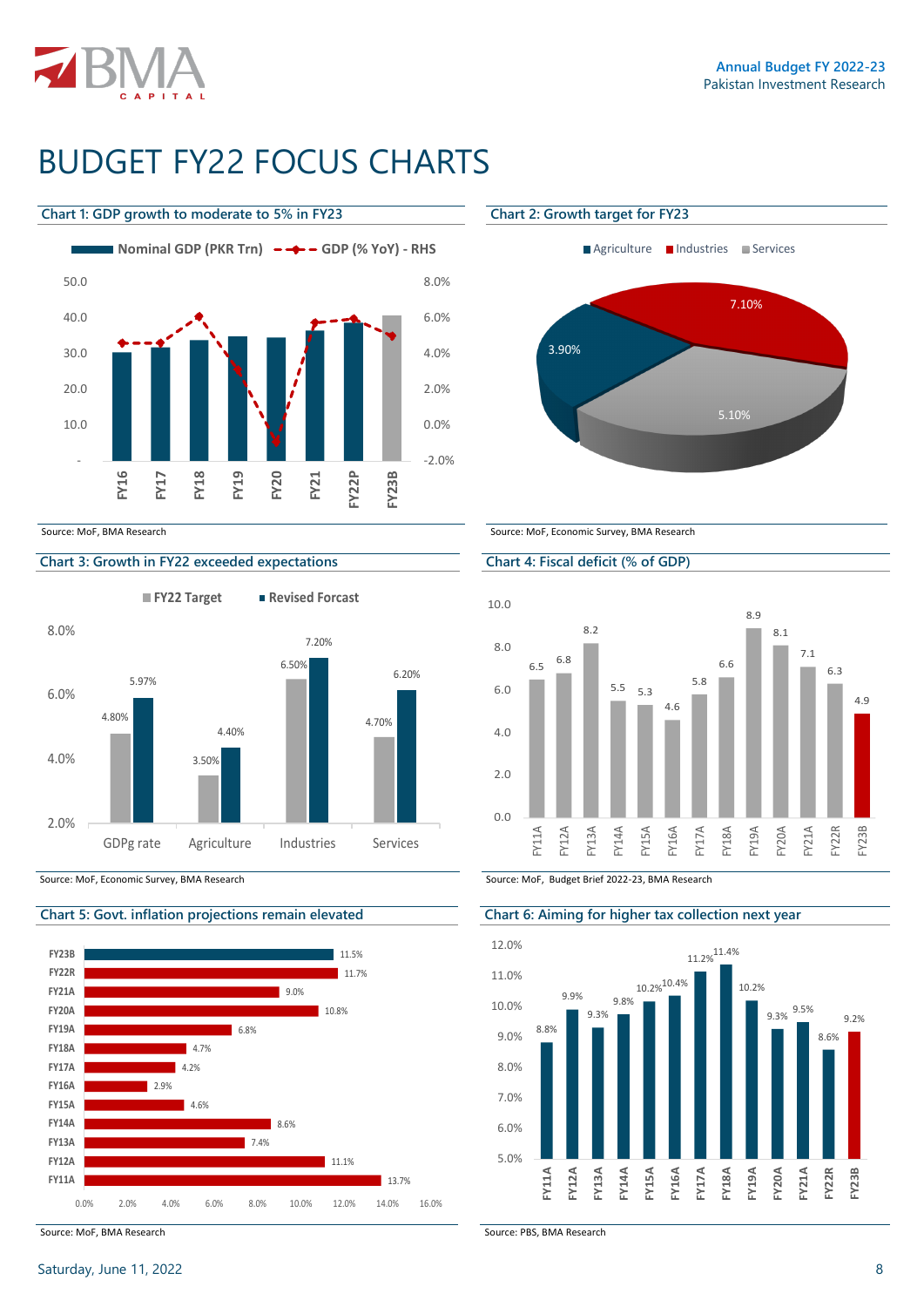

# BUDGET FY22 FOCUS CHARTS

#### **Chart 1: GDP growth to moderate to 5% in FY23 Chart 2: Growth target for FY23**



### **Chart 3: Growth in FY22 exceeded expectations Chart 4: Fiscal deficit (% of GDP)**

**FY22 Target Revised Forcast**





Source: MoF, BMA Research Source: PBS, BMA Research





Source: MoF, BMA Research Source: MoF, Economic Survey, BMA Research Source: MoF, Economic Survey, BMA Research



Source: MoF, Economic Survey, BMA Research Source: MoF, Budget Brief 2022-23, BMA Research

#### **Chart 5: Govt. inflation projections remain elevated Chart 6: Aiming for higher tax collection next year**

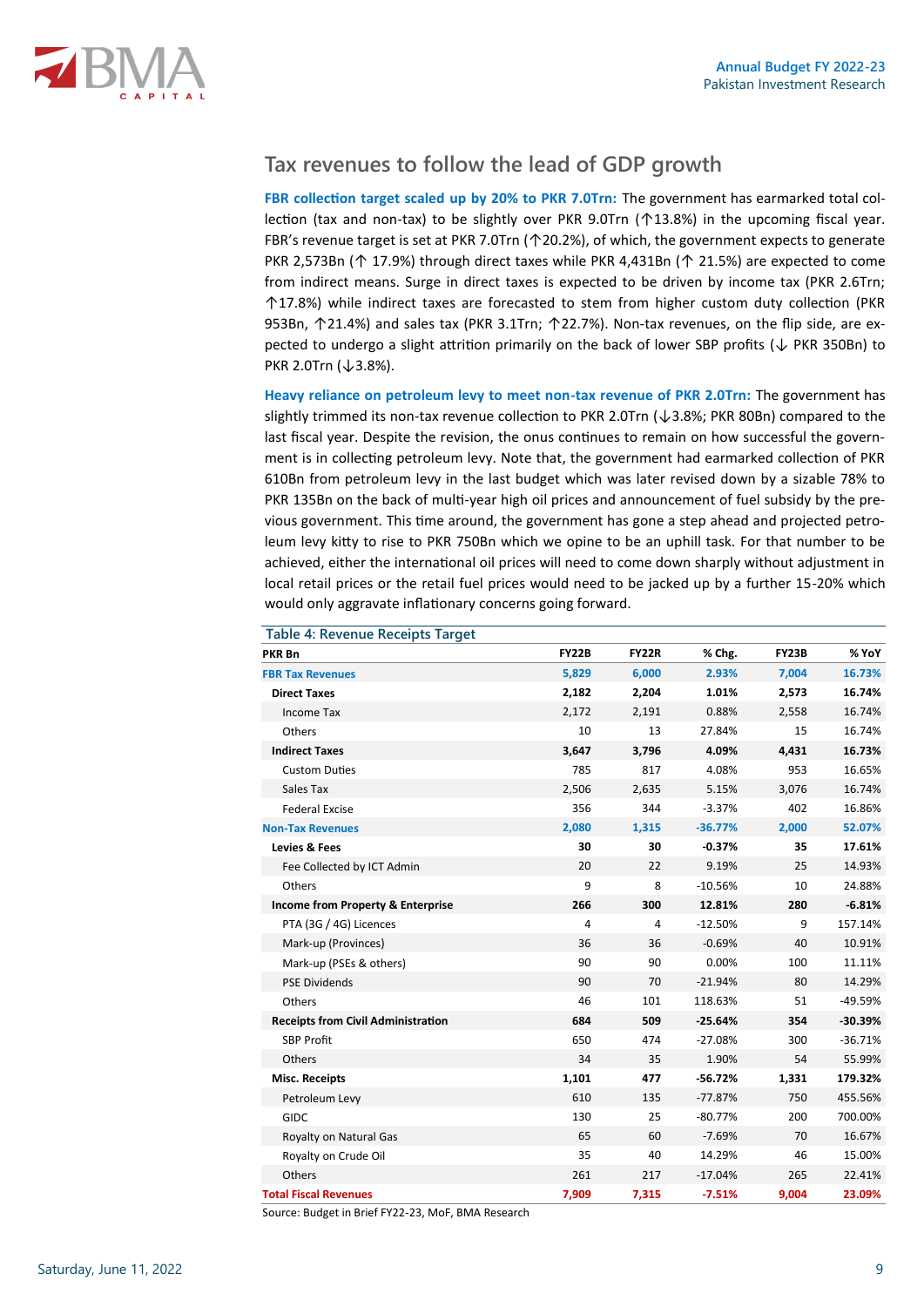

### **Tax revenues to follow the lead of GDP growth**

**FBR collection target scaled up by 20% to PKR 7.0Trn:** The government has earmarked total collection (tax and non-tax) to be slightly over PKR 9.0Trn (↑13.8%) in the upcoming fiscal year. FBR's revenue target is set at PKR 7.0Trn (↑20.2%), of which, the government expects to generate PKR 2,573Bn (↑ 17.9%) through direct taxes while PKR 4,431Bn (↑ 21.5%) are expected to come from indirect means. Surge in direct taxes is expected to be driven by income tax (PKR 2.6Trn; ↑17.8%) while indirect taxes are forecasted to stem from higher custom duty collection (PKR 953Bn, ↑21.4%) and sales tax (PKR 3.1Trn; ↑22.7%). Non-tax revenues, on the flip side, are expected to undergo a slight attrition primarily on the back of lower SBP profits (↓ PKR 350Bn) to PKR 2.0Trn (↓3.8%).

**Heavy reliance on petroleum levy to meet non-tax revenue of PKR 2.0Trn:** The government has slightly trimmed its non-tax revenue collection to PKR 2.0Trn (↓3.8%; PKR 80Bn) compared to the last fiscal year. Despite the revision, the onus continues to remain on how successful the government is in collecting petroleum levy. Note that, the government had earmarked collection of PKR 610Bn from petroleum levy in the last budget which was later revised down by a sizable 78% to PKR 135Bn on the back of multi-year high oil prices and announcement of fuel subsidy by the previous government. This time around, the government has gone a step ahead and projected petroleum levy kitty to rise to PKR 750Bn which we opine to be an uphill task. For that number to be achieved, either the international oil prices will need to come down sharply without adjustment in local retail prices or the retail fuel prices would need to be jacked up by a further 15-20% which would only aggravate inflationary concerns going forward.

| Table 4: Revenue Receipts Target          |                |              |           |              |           |
|-------------------------------------------|----------------|--------------|-----------|--------------|-----------|
| <b>PKR Bn</b>                             | <b>FY22B</b>   | <b>FY22R</b> | % Chg.    | <b>FY23B</b> | % YoY     |
| <b>FBR Tax Revenues</b>                   | 5,829          | 6,000        | 2.93%     | 7,004        | 16.73%    |
| <b>Direct Taxes</b>                       | 2,182          | 2,204        | 1.01%     | 2,573        | 16.74%    |
| <b>Income Tax</b>                         | 2,172          | 2,191        | 0.88%     | 2,558        | 16.74%    |
| Others                                    | 10             | 13           | 27.84%    | 15           | 16.74%    |
| <b>Indirect Taxes</b>                     | 3,647          | 3,796        | 4.09%     | 4,431        | 16.73%    |
| <b>Custom Duties</b>                      | 785            | 817          | 4.08%     | 953          | 16.65%    |
| Sales Tax                                 | 2,506          | 2,635        | 5.15%     | 3,076        | 16.74%    |
| <b>Federal Excise</b>                     | 356            | 344          | $-3.37%$  | 402          | 16.86%    |
| <b>Non-Tax Revenues</b>                   | 2,080          | 1,315        | $-36.77%$ | 2,000        | 52.07%    |
| <b>Levies &amp; Fees</b>                  | 30             | 30           | $-0.37%$  | 35           | 17.61%    |
| Fee Collected by ICT Admin                | 20             | 22           | 9.19%     | 25           | 14.93%    |
| Others                                    | 9              | 8            | $-10.56%$ | 10           | 24.88%    |
| Income from Property & Enterprise         | 266            | 300          | 12.81%    | 280          | $-6.81%$  |
| PTA (3G / 4G) Licences                    | $\overline{4}$ | 4            | $-12.50%$ | 9            | 157.14%   |
| Mark-up (Provinces)                       | 36             | 36           | $-0.69%$  | 40           | 10.91%    |
| Mark-up (PSEs & others)                   | 90             | 90           | 0.00%     | 100          | 11.11%    |
| <b>PSE Dividends</b>                      | 90             | 70           | $-21.94%$ | 80           | 14.29%    |
| Others                                    | 46             | 101          | 118.63%   | 51           | $-49.59%$ |
| <b>Receipts from Civil Administration</b> | 684            | 509          | $-25.64%$ | 354          | $-30.39%$ |
| <b>SBP Profit</b>                         | 650            | 474          | $-27.08%$ | 300          | $-36.71%$ |
| Others                                    | 34             | 35           | 1.90%     | 54           | 55.99%    |
| <b>Misc. Receipts</b>                     | 1,101          | 477          | $-56.72%$ | 1,331        | 179.32%   |
| Petroleum Levy                            | 610            | 135          | $-77.87%$ | 750          | 455.56%   |
| GIDC                                      | 130            | 25           | $-80.77%$ | 200          | 700.00%   |
| Royalty on Natural Gas                    | 65             | 60           | $-7.69%$  | 70           | 16.67%    |
| Royalty on Crude Oil                      | 35             | 40           | 14.29%    | 46           | 15.00%    |
| Others                                    | 261            | 217          | $-17.04%$ | 265          | 22.41%    |
| <b>Total Fiscal Revenues</b>              | 7,909          | 7,315        | $-7.51%$  | 9,004        | 23.09%    |

Source: Budget in Brief FY22-23, MoF, BMA Research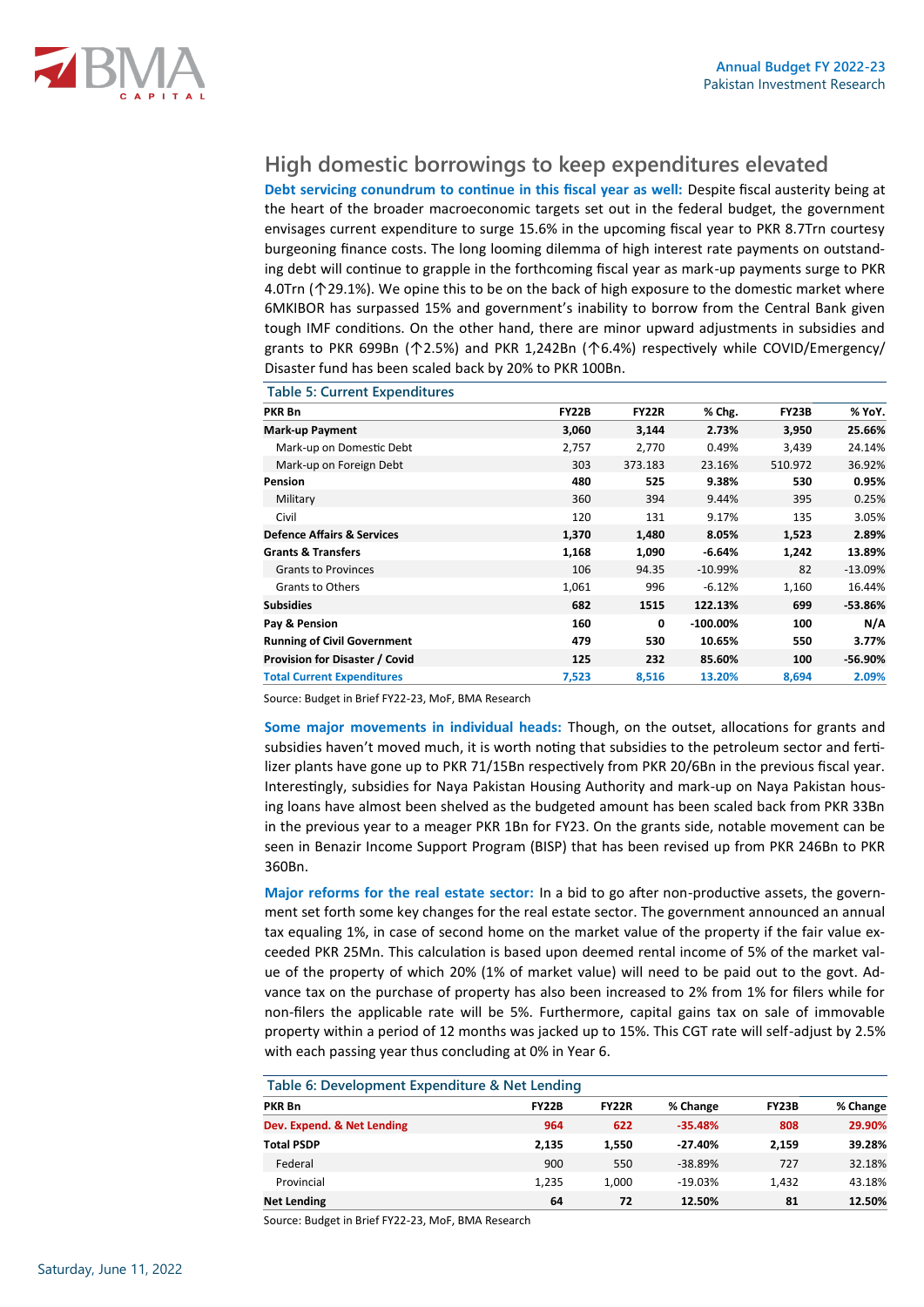

### **High domestic borrowings to keep expenditures elevated**

**Debt servicing conundrum to continue in this fiscal year as well:** Despite fiscal austerity being at the heart of the broader macroeconomic targets set out in the federal budget, the government envisages current expenditure to surge 15.6% in the upcoming fiscal year to PKR 8.7Trn courtesy burgeoning finance costs. The long looming dilemma of high interest rate payments on outstanding debt will continue to grapple in the forthcoming fiscal year as mark-up payments surge to PKR 4.0Trn (↑29.1%). We opine this to be on the back of high exposure to the domestic market where 6MKIBOR has surpassed 15% and government's inability to borrow from the Central Bank given tough IMF conditions. On the other hand, there are minor upward adjustments in subsidies and grants to PKR 699Bn (↑2.5%) and PKR 1,242Bn (↑6.4%) respectively while COVID/Emergency/ Disaster fund has been scaled back by 20% to PKR 100Bn.

**Table 5: Current Expenditures**

| PKR Bn                                | <b>FY22B</b> | <b>FY22R</b> | % Chg.      | <b>FY23B</b> | % YoY.    |
|---------------------------------------|--------------|--------------|-------------|--------------|-----------|
| <b>Mark-up Payment</b>                | 3,060        | 3,144        | 2.73%       | 3,950        | 25.66%    |
| Mark-up on Domestic Debt              | 2,757        | 2,770        | 0.49%       | 3,439        | 24.14%    |
| Mark-up on Foreign Debt               | 303          | 373.183      | 23.16%      | 510.972      | 36.92%    |
| Pension                               | 480          | 525          | 9.38%       | 530          | 0.95%     |
| Military                              | 360          | 394          | 9.44%       | 395          | 0.25%     |
| Civil                                 | 120          | 131          | 9.17%       | 135          | 3.05%     |
| <b>Defence Affairs &amp; Services</b> | 1,370        | 1,480        | 8.05%       | 1,523        | 2.89%     |
| <b>Grants &amp; Transfers</b>         | 1,168        | 1,090        | $-6.64%$    | 1,242        | 13.89%    |
| <b>Grants to Provinces</b>            | 106          | 94.35        | $-10.99%$   | 82           | $-13.09%$ |
| <b>Grants to Others</b>               | 1,061        | 996          | $-6.12%$    | 1,160        | 16.44%    |
| <b>Subsidies</b>                      | 682          | 1515         | 122.13%     | 699          | $-53.86%$ |
| Pay & Pension                         | 160          | 0            | $-100.00\%$ | 100          | N/A       |
| <b>Running of Civil Government</b>    | 479          | 530          | 10.65%      | 550          | 3.77%     |
| Provision for Disaster / Covid        | 125          | 232          | 85.60%      | 100          | -56.90%   |
| <b>Total Current Expenditures</b>     | 7,523        | 8,516        | 13.20%      | 8,694        | 2.09%     |

Source: Budget in Brief FY22-23, MoF, BMA Research

**Some major movements in individual heads:** Though, on the outset, allocations for grants and subsidies haven't moved much, it is worth noting that subsidies to the petroleum sector and fertilizer plants have gone up to PKR 71/15Bn respectively from PKR 20/6Bn in the previous fiscal year. Interestingly, subsidies for Naya Pakistan Housing Authority and mark-up on Naya Pakistan housing loans have almost been shelved as the budgeted amount has been scaled back from PKR 33Bn in the previous year to a meager PKR 1Bn for FY23. On the grants side, notable movement can be seen in Benazir Income Support Program (BISP) that has been revised up from PKR 246Bn to PKR 360Bn.

**Major reforms for the real estate sector:** In a bid to go after non-productive assets, the government set forth some key changes for the real estate sector. The government announced an annual tax equaling 1%, in case of second home on the market value of the property if the fair value exceeded PKR 25Mn. This calculation is based upon deemed rental income of 5% of the market value of the property of which 20% (1% of market value) will need to be paid out to the govt. Advance tax on the purchase of property has also been increased to 2% from 1% for filers while for non-filers the applicable rate will be 5%. Furthermore, capital gains tax on sale of immovable property within a period of 12 months was jacked up to 15%. This CGT rate will self-adjust by 2.5% with each passing year thus concluding at 0% in Year 6.

| Table 6: Development Expenditure & Net Lending |              |              |           |              |          |
|------------------------------------------------|--------------|--------------|-----------|--------------|----------|
| PKR Bn                                         | <b>FY22B</b> | <b>FY22R</b> | % Change  | <b>FY23B</b> | % Change |
| Dev. Expend. & Net Lending                     | 964          | 622          | $-35.48%$ | 808          | 29.90%   |
| <b>Total PSDP</b>                              | 2,135        | 1.550        | $-27.40%$ | 2.159        | 39.28%   |
| Federal                                        | 900          | 550          | $-38.89%$ | 727          | 32.18%   |
| Provincial                                     | 1,235        | 1.000        | $-19.03%$ | 1,432        | 43.18%   |
| <b>Net Lending</b>                             | 64           | 72           | 12.50%    | 81           | 12.50%   |

#### **Table 6: Development Expenditure & Net Lending**

Source: Budget in Brief FY22-23, MoF, BMA Research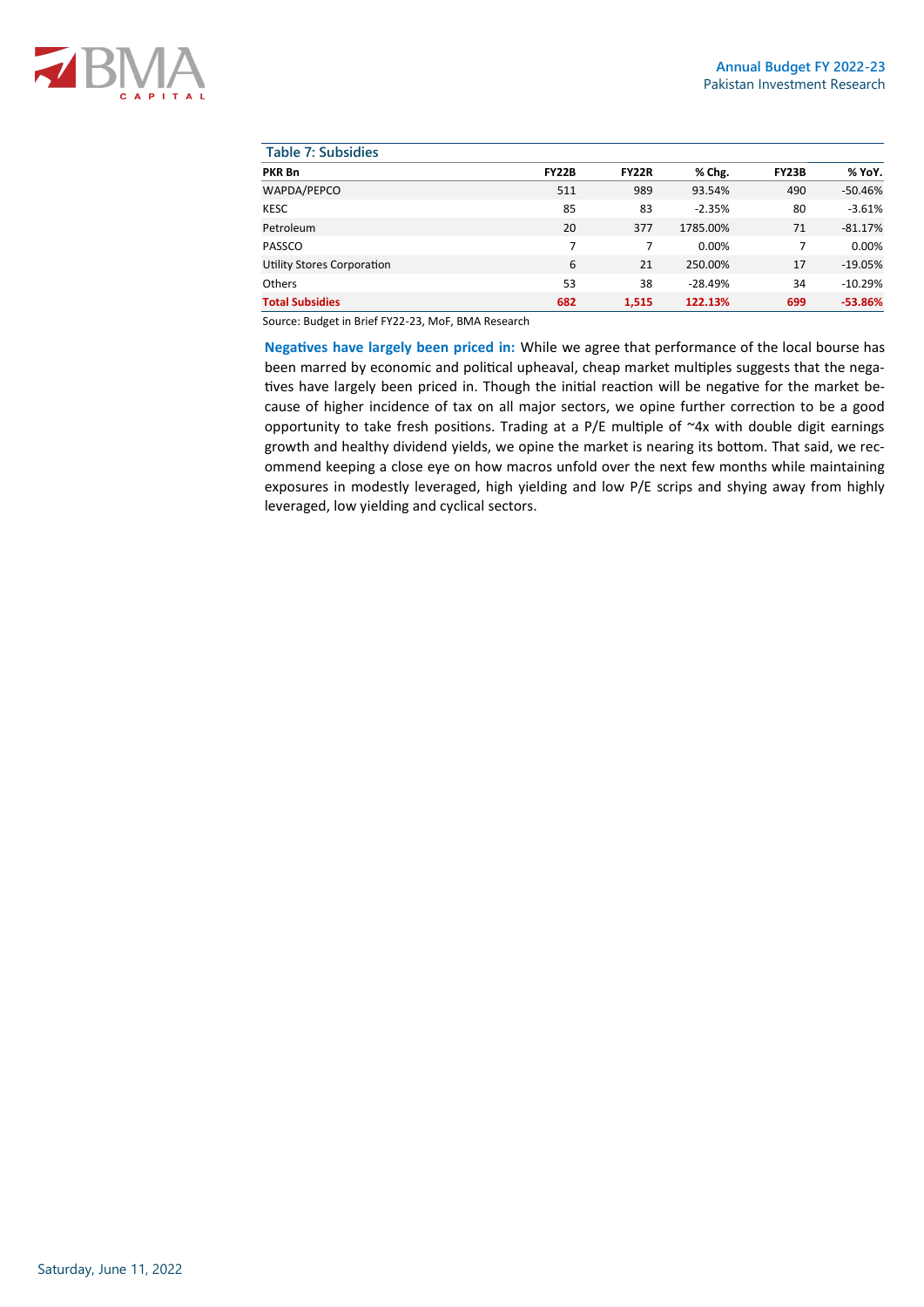| <b>Table 7: Subsidies</b>  |              |              |           |              |           |
|----------------------------|--------------|--------------|-----------|--------------|-----------|
| <b>PKR Bn</b>              | <b>FY22B</b> | <b>FY22R</b> | % Chg.    | <b>FY23B</b> | % YoY.    |
| WAPDA/PEPCO                | 511          | 989          | 93.54%    | 490          | $-50.46%$ |
| <b>KESC</b>                | 85           | 83           | $-2.35%$  | 80           | $-3.61%$  |
| Petroleum                  | 20           | 377          | 1785.00%  | 71           | $-81.17%$ |
| PASSCO                     | 7            | 7            | 0.00%     | 7            | 0.00%     |
| Utility Stores Corporation | 6            | 21           | 250.00%   | 17           | $-19.05%$ |
| <b>Others</b>              | 53           | 38           | $-28.49%$ | 34           | $-10.29%$ |
| <b>Total Subsidies</b>     | 682          | 1,515        | 122.13%   | 699          | $-53.86%$ |

Source: Budget in Brief FY22-23, MoF, BMA Research

**Negatives have largely been priced in:** While we agree that performance of the local bourse has been marred by economic and political upheaval, cheap market multiples suggests that the negatives have largely been priced in. Though the initial reaction will be negative for the market because of higher incidence of tax on all major sectors, we opine further correction to be a good opportunity to take fresh positions. Trading at a  $P/E$  multiple of  $\sim$ 4x with double digit earnings growth and healthy dividend yields, we opine the market is nearing its bottom. That said, we recommend keeping a close eye on how macros unfold over the next few months while maintaining exposures in modestly leveraged, high yielding and low P/E scrips and shying away from highly leveraged, low yielding and cyclical sectors.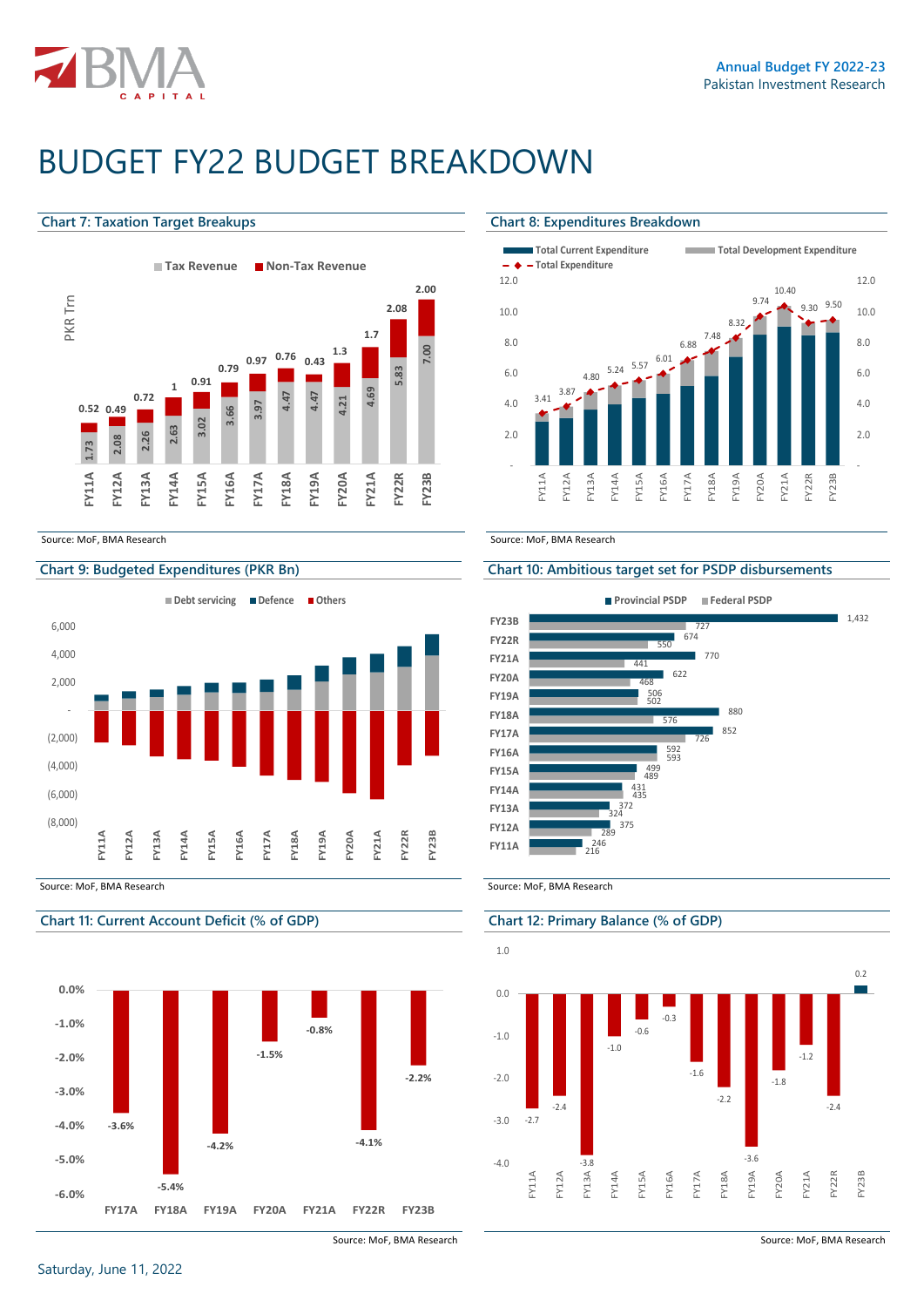

# BUDGET FY22 BUDGET BREAKDOWN

#### **Chart 7: Taxation Target Breakups Chart 8: Expenditures Breakdown**



Source: MoF. BMA Research Source: MoF, BMA Research



### **Chart 11: Current Account Deficit (% of GDP) Chart 12: Primary Balance (% of GDP)**



Source: MoF, BMA Research **Source: MoF, BMA Research** Source: MoF, BMA Research



### **Chart 9: Budgeted Expenditures (PKR Bn) Chart 10: Ambitious target set for PSDP disbursements**



Source: MoF, BMA Research Source: MoF, BMA Research Source: MoF, BMA Research

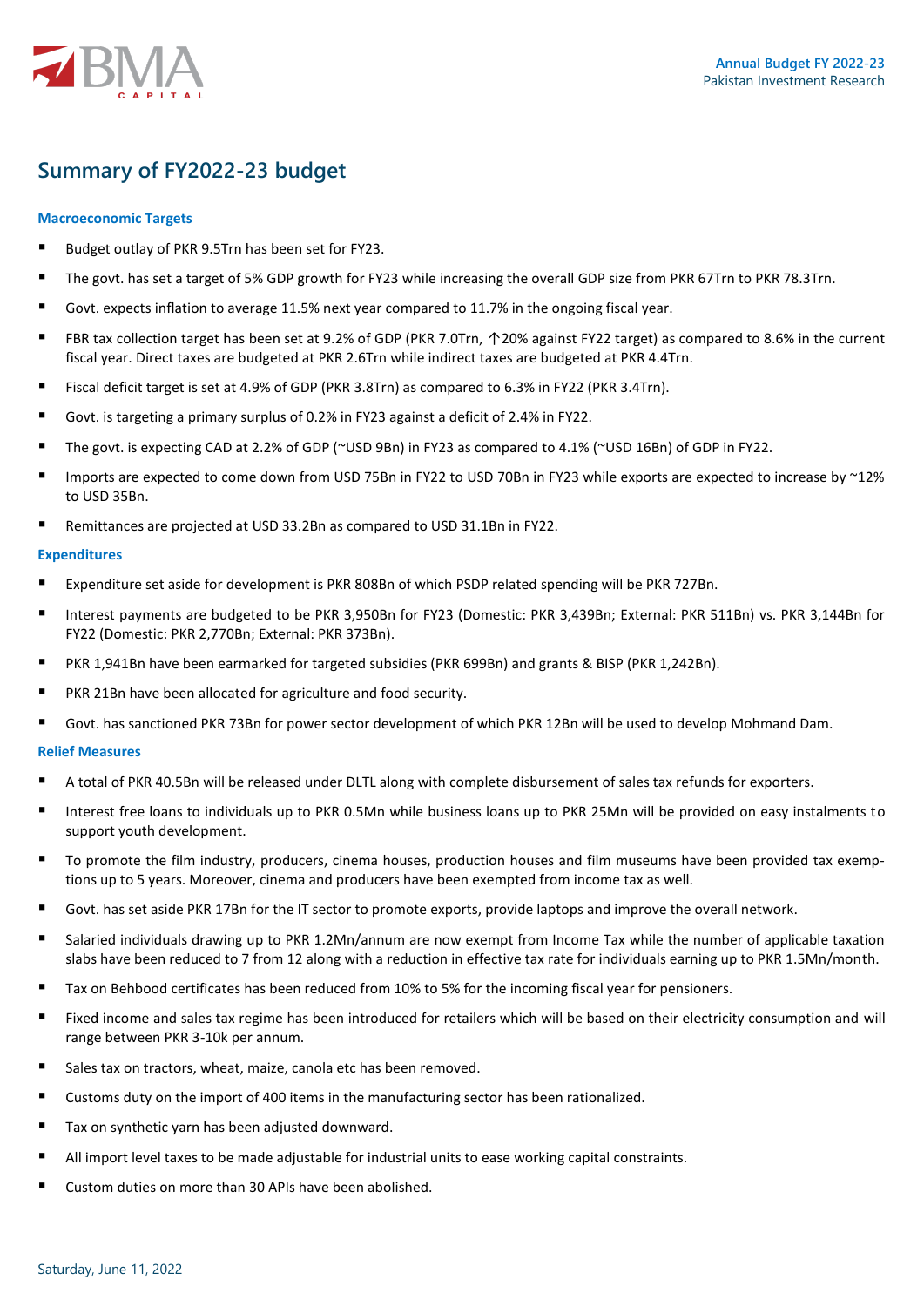

### **Summary of FY2022-23 budget**

### **Macroeconomic Targets**

- Budget outlay of PKR 9.5Trn has been set for FY23.
- The govt. has set a target of 5% GDP growth for FY23 while increasing the overall GDP size from PKR 67Trn to PKR 78.3Trn.
- Govt. expects inflation to average 11.5% next year compared to 11.7% in the ongoing fiscal year.
- FBR tax collection target has been set at 9.2% of GDP (PKR 7.0Trn, ↑20% against FY22 target) as compared to 8.6% in the current fiscal year. Direct taxes are budgeted at PKR 2.6Trn while indirect taxes are budgeted at PKR 4.4Trn.
- Fiscal deficit target is set at 4.9% of GDP (PKR 3.8Trn) as compared to 6.3% in FY22 (PKR 3.4Trn).
- Govt. is targeting a primary surplus of 0.2% in FY23 against a deficit of 2.4% in FY22.
- The govt. is expecting CAD at 2.2% of GDP (~USD 9Bn) in FY23 as compared to 4.1% (~USD 16Bn) of GDP in FY22.
- Imports are expected to come down from USD 75Bn in FY22 to USD 70Bn in FY23 while exports are expected to increase by ~12% to USD 35Bn.
- Remittances are projected at USD 33.2Bn as compared to USD 31.1Bn in FY22.

### **Expenditures**

- Expenditure set aside for development is PKR 808Bn of which PSDP related spending will be PKR 727Bn.
- Interest payments are budgeted to be PKR 3,950Bn for FY23 (Domestic: PKR 3,439Bn; External: PKR 511Bn) vs. PKR 3,144Bn for FY22 (Domestic: PKR 2,770Bn; External: PKR 373Bn).
- PKR 1,941Bn have been earmarked for targeted subsidies (PKR 699Bn) and grants & BISP (PKR 1,242Bn).
- PKR 21Bn have been allocated for agriculture and food security.
- Govt. has sanctioned PKR 73Bn for power sector development of which PKR 12Bn will be used to develop Mohmand Dam.

#### **Relief Measures**

- A total of PKR 40.5Bn will be released under DLTL along with complete disbursement of sales tax refunds for exporters.
- Interest free loans to individuals up to PKR 0.5Mn while business loans up to PKR 25Mn will be provided on easy instalments to support youth development.
- To promote the film industry, producers, cinema houses, production houses and film museums have been provided tax exemptions up to 5 years. Moreover, cinema and producers have been exempted from income tax as well.
- Govt. has set aside PKR 17Bn for the IT sector to promote exports, provide laptops and improve the overall network.
- Salaried individuals drawing up to PKR 1.2Mn/annum are now exempt from Income Tax while the number of applicable taxation slabs have been reduced to 7 from 12 along with a reduction in effective tax rate for individuals earning up to PKR 1.5Mn/month.
- Tax on Behbood certificates has been reduced from 10% to 5% for the incoming fiscal year for pensioners.
- Fixed income and sales tax regime has been introduced for retailers which will be based on their electricity consumption and will range between PKR 3-10k per annum.
- Sales tax on tractors, wheat, maize, canola etc has been removed.
- Customs duty on the import of 400 items in the manufacturing sector has been rationalized.
- Tax on synthetic yarn has been adjusted downward.
- All import level taxes to be made adjustable for industrial units to ease working capital constraints.
- Custom duties on more than 30 APIs have been abolished.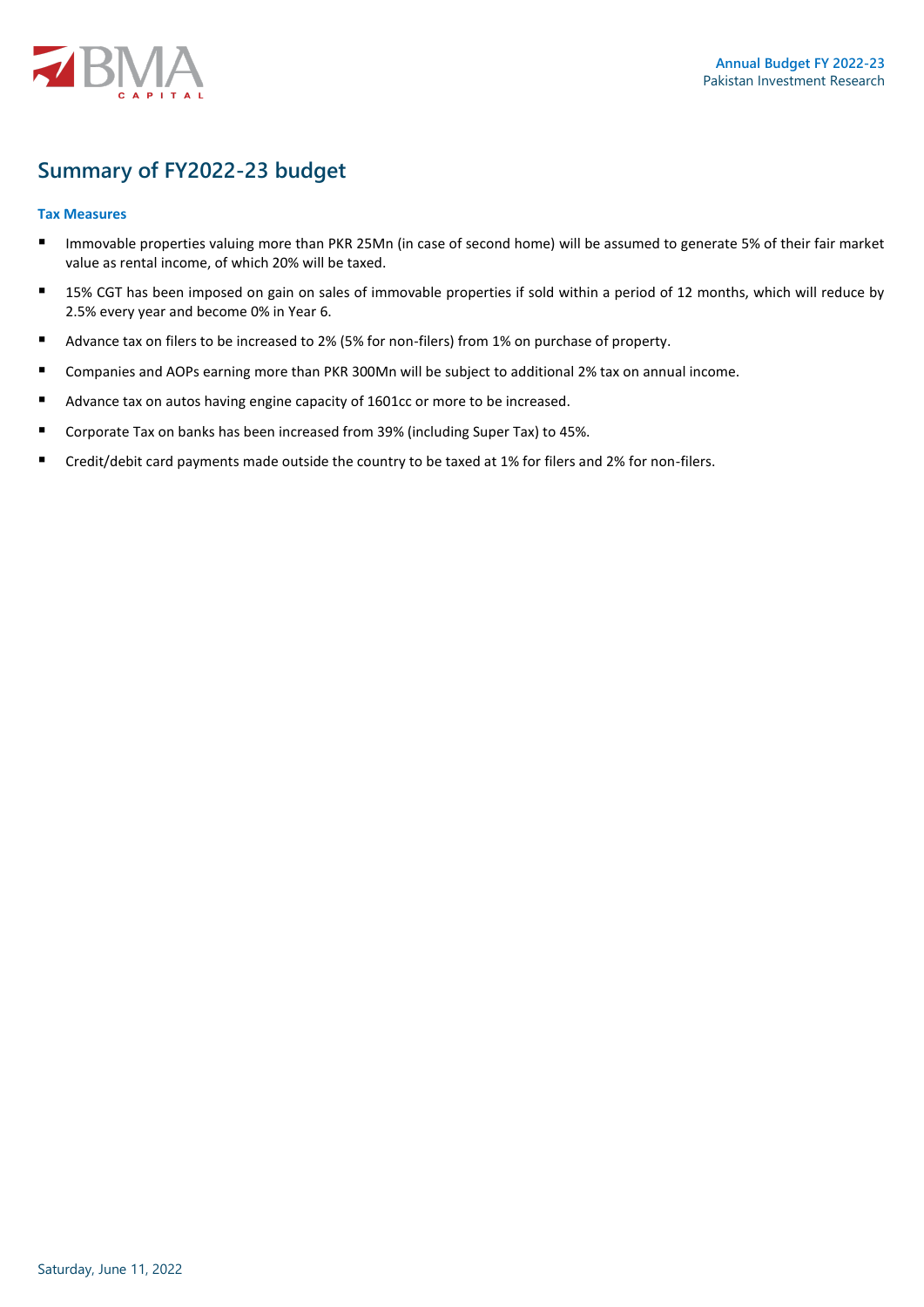

## **Summary of FY2022-23 budget**

### **Tax Measures**

- Immovable properties valuing more than PKR 25Mn (in case of second home) will be assumed to generate 5% of their fair market value as rental income, of which 20% will be taxed.
- 15% CGT has been imposed on gain on sales of immovable properties if sold within a period of 12 months, which will reduce by 2.5% every year and become 0% in Year 6.
- Advance tax on filers to be increased to 2% (5% for non-filers) from 1% on purchase of property.
- Companies and AOPs earning more than PKR 300Mn will be subject to additional 2% tax on annual income.
- Advance tax on autos having engine capacity of 1601cc or more to be increased.
- Corporate Tax on banks has been increased from 39% (including Super Tax) to 45%.
- Credit/debit card payments made outside the country to be taxed at 1% for filers and 2% for non-filers.